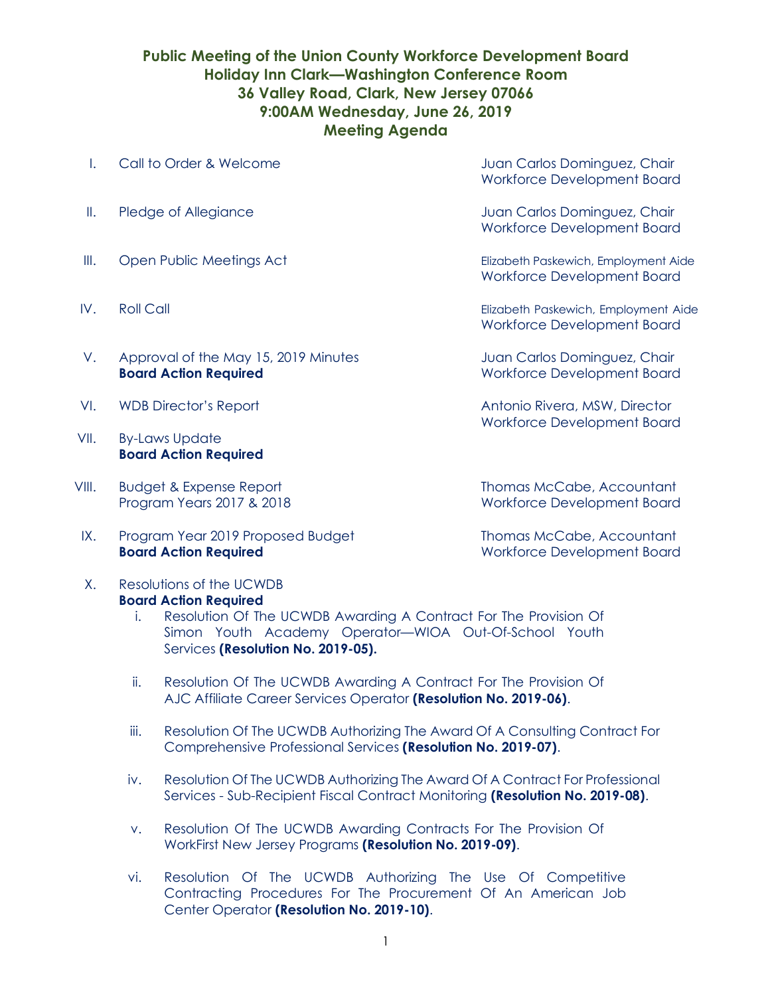## **Public Meeting of the Union County Workforce Development Board Holiday Inn Clark—Washington Conference Room 36 Valley Road, Clark, New Jersey 07066 9:00AM Wednesday, June 26, 2019 Meeting Agenda**

- I. Call to Order & Welcome Carlos Chair Juan Carlos Dominguez, Chair
- 
- 
- 
- V. Approval of the May 15, 2019 Minutes Juan Carlos Dominguez, Chair **Board Action Required** Morkforce Development Board
- 
- VII. By-Laws Update **Board Action Required**
- VIII. Budget & Expense Report **Thomas McCabe, Accountant**
- IX. Program Year 2019 Proposed Budget Thomas McCabe, Accountant **Board Action Required Board Action Required** Workforce Development Board
- X. Resolutions of the UCWDB **Board Action Required**
	- i. Resolution Of The UCWDB Awarding A Contract For The Provision Of Simon Youth Academy Operator—WIOA Out-Of-School Youth Services **(Resolution No. 2019-05).**
	- ii. Resolution Of The UCWDB Awarding A Contract For The Provision Of AJC Affiliate Career Services Operator **(Resolution No. 2019-06)**.
	- iii. Resolution Of The UCWDB Authorizing The Award Of A Consulting Contract For Comprehensive Professional Services **(Resolution No. 2019-07)**.
	- iv. Resolution Of The UCWDB Authorizing The Award Of A Contract For Professional Services - Sub-Recipient Fiscal Contract Monitoring **(Resolution No. 2019-08)**.
	- v. Resolution Of The UCWDB Awarding Contracts For The Provision Of WorkFirst New Jersey Programs **(Resolution No. 2019-09)**.
	- vi. Resolution Of The UCWDB Authorizing The Use Of Competitive Contracting Procedures For The Procurement Of An American Job Center Operator **(Resolution No. 2019-10)**.

Workforce Development Board

II. Pledge of Allegiance **II.** Pledge of Allegiance **Juan Carlos Dominguez**, Chair Workforce Development Board

III. Open Public Meetings Act Elizabeth Paskewich, Employment Aide Workforce Development Board

IV. Roll Call Elizabeth Paskewich, Employment Aide Workforce Development Board

VI. WDB Director's Report **Antonio Rivera, MSW, Director** Workforce Development Board

Program Years 2017 & 2018 Workforce Development Board